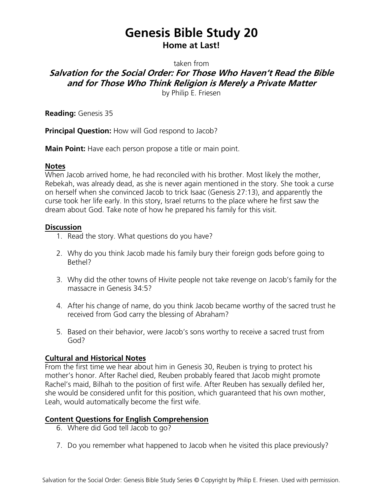# **Genesis Bible Study 20 Home at Last!**

taken from

**Salvation for the Social Order: For Those Who Haven't Read the Bible and for Those Who Think Religion is Merely a Private Matter**

by Philip E. Friesen

**Reading:** Genesis 35

**Principal Question:** How will God respond to Jacob?

**Main Point:** Have each person propose a title or main point.

#### **Notes**

When Jacob arrived home, he had reconciled with his brother. Most likely the mother, Rebekah, was already dead, as she is never again mentioned in the story. She took a curse on herself when she convinced Jacob to trick Isaac (Genesis 27:13), and apparently the curse took her life early. In this story, Israel returns to the place where he first saw the dream about God. Take note of how he prepared his family for this visit.

### **Discussion**

- 1. Read the story. What questions do you have?
- 2. Why do you think Jacob made his family bury their foreign gods before going to Bethel?
- 3. Why did the other towns of Hivite people not take revenge on Jacob's family for the massacre in Genesis 34:5?
- 4. After his change of name, do you think Jacob became worthy of the sacred trust he received from God carry the blessing of Abraham?
- 5. Based on their behavior, were Jacob's sons worthy to receive a sacred trust from God?

## **Cultural and Historical Notes**

From the first time we hear about him in Genesis 30, Reuben is trying to protect his mother's honor. After Rachel died, Reuben probably feared that Jacob might promote Rachel's maid, Bilhah to the position of first wife. After Reuben has sexually defiled her, she would be considered unfit for this position, which guaranteed that his own mother, Leah, would automatically become the first wife.

## **Content Questions for English Comprehension**

- 6. Where did God tell Jacob to go?
- 7. Do you remember what happened to Jacob when he visited this place previously?